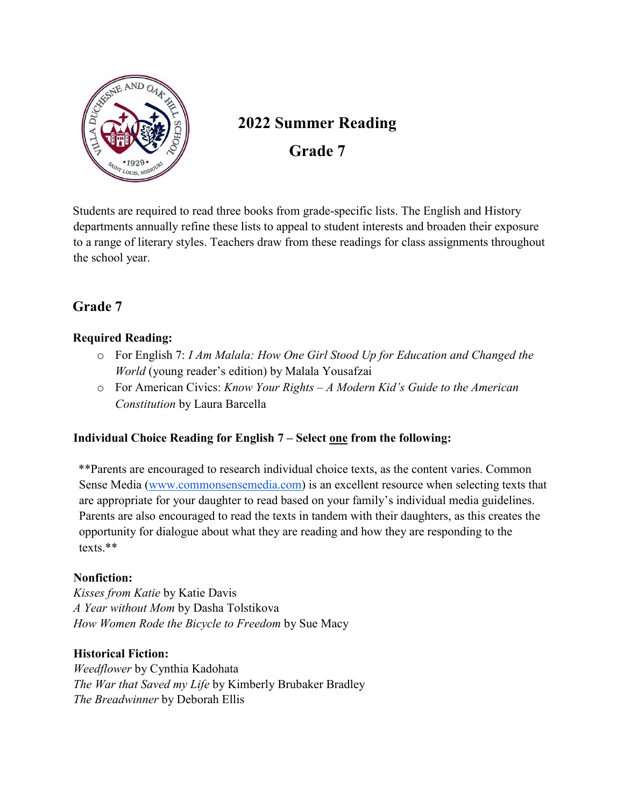

# **2022 Summer Reading Grade 7**

Students are required to read three books from grade-specific lists. The English and History departments annually refine these lists to appeal to student interests and broaden their exposure to a range of literary styles. Teachers draw from these readings for class assignments throughout the school year.

## **Grade 7**

## **Required Reading:**

- o For English 7: *I Am Malala: How One Girl Stood Up for Education and Changed the World* (young reader's edition) by Malala Yousafzai
- o For American Civics: *Know Your Rights – A Modern Kid's Guide to the American Constitution* by Laura Barcella

## **Individual Choice Reading for English 7 – Select one from the following:**

\*\*Parents are encouraged to research individual choice texts, as the content varies. Common Sense Media [\(www.commonsensemedia.com\)](http://www.commonsensemedia.com/) is an excellent resource when selecting texts that are appropriate for your daughter to read based on your family's individual media guidelines. Parents are also encouraged to read the texts in tandem with their daughters, as this creates the opportunity for dialogue about what they are reading and how they are responding to the texts.\*\*

## **Nonfiction:**

*Kisses from Katie* by Katie Davis *A Year without Mom* by Dasha Tolstikova *How Women Rode the Bicycle to Freedom* by Sue Macy

## **Historical Fiction:**

*Weedflower* by Cynthia Kadohata *The War that Saved my Life* by Kimberly Brubaker Bradley *The Breadwinner* by Deborah Ellis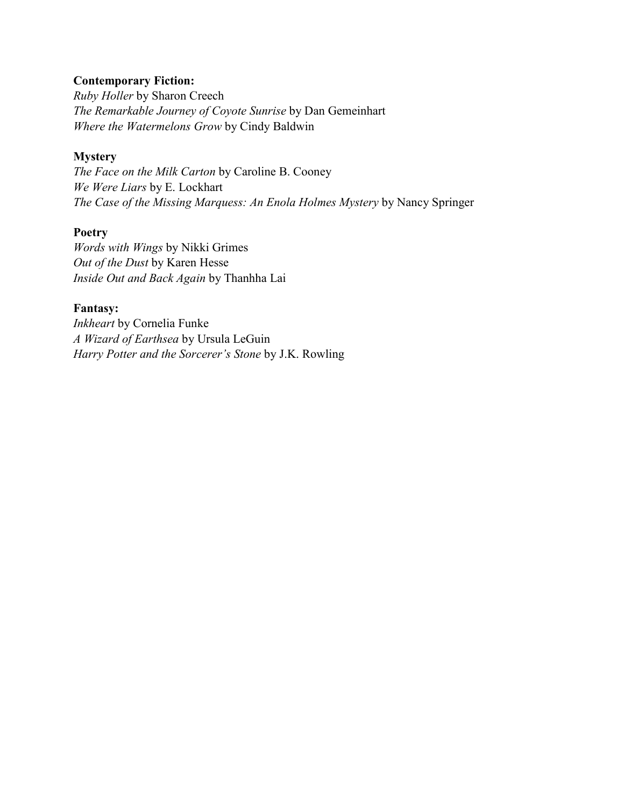#### **Contemporary Fiction:**

*Ruby Holler* by Sharon Creech *The Remarkable Journey of Coyote Sunrise* by Dan Gemeinhart *Where the Watermelons Grow* by Cindy Baldwin

#### **Mystery**

*The Face on the Milk Carton* by Caroline B. Cooney *We Were Liars* by E. Lockhart *The Case of the Missing Marquess: An Enola Holmes Mystery* by Nancy Springer

#### **Poetry**

*Words with Wings* by Nikki Grimes *Out of the Dust* by Karen Hesse *Inside Out and Back Again* by Thanhha Lai

#### **Fantasy:**

*Inkheart* by Cornelia Funke *A Wizard of Earthsea* by Ursula LeGuin *Harry Potter and the Sorcerer's Stone* by J.K. Rowling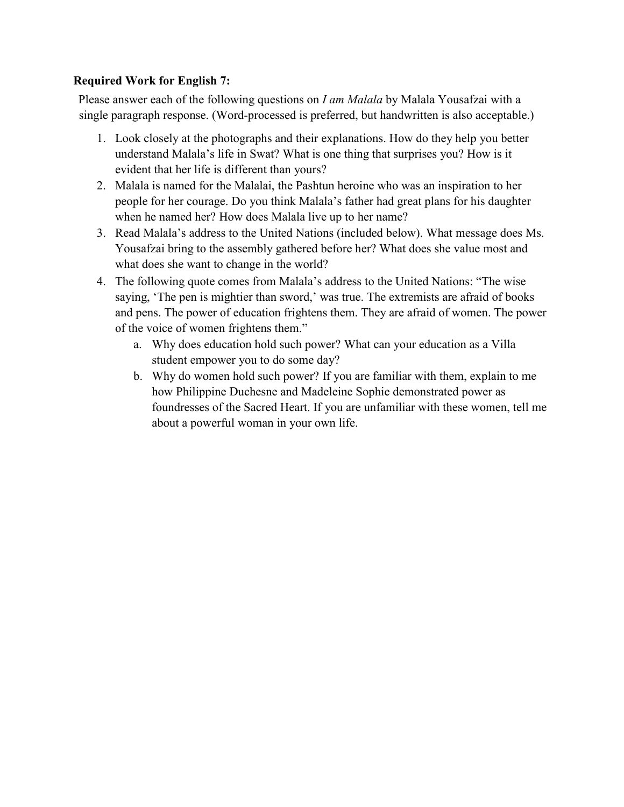#### **Required Work for English 7:**

Please answer each of the following questions on *I am Malala* by Malala Yousafzai with a single paragraph response. (Word-processed is preferred, but handwritten is also acceptable.)

- 1. Look closely at the photographs and their explanations. How do they help you better understand Malala's life in Swat? What is one thing that surprises you? How is it evident that her life is different than yours?
- 2. Malala is named for the Malalai, the Pashtun heroine who was an inspiration to her people for her courage. Do you think Malala's father had great plans for his daughter when he named her? How does Malala live up to her name?
- 3. Read Malala's address to the United Nations (included below). What message does Ms. Yousafzai bring to the assembly gathered before her? What does she value most and what does she want to change in the world?
- 4. The following quote comes from Malala's address to the United Nations: "The wise saying, 'The pen is mightier than sword,' was true. The extremists are afraid of books and pens. The power of education frightens them. They are afraid of women. The power of the voice of women frightens them."
	- a. Why does education hold such power? What can your education as a Villa student empower you to do some day?
	- b. Why do women hold such power? If you are familiar with them, explain to me how Philippine Duchesne and Madeleine Sophie demonstrated power as foundresses of the Sacred Heart. If you are unfamiliar with these women, tell me about a powerful woman in your own life.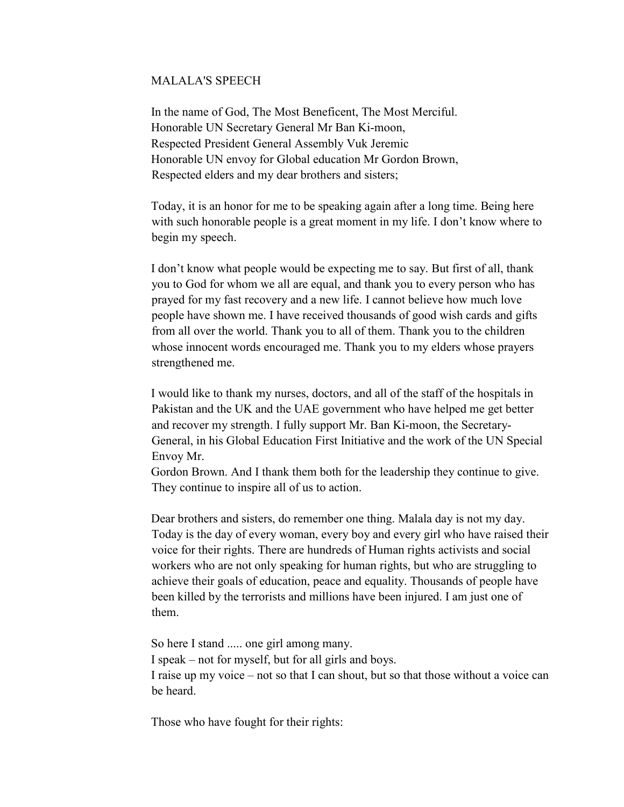#### MALALA'S SPEECH

In the name of God, The Most Beneficent, The Most Merciful. Honorable UN Secretary General Mr Ban Ki-moon, Respected President General Assembly Vuk Jeremic Honorable UN envoy for Global education Mr Gordon Brown, Respected elders and my dear brothers and sisters;

Today, it is an honor for me to be speaking again after a long time. Being here with such honorable people is a great moment in my life. I don't know where to begin my speech.

I don't know what people would be expecting me to say. But first of all, thank you to God for whom we all are equal, and thank you to every person who has prayed for my fast recovery and a new life. I cannot believe how much love people have shown me. I have received thousands of good wish cards and gifts from all over the world. Thank you to all of them. Thank you to the children whose innocent words encouraged me. Thank you to my elders whose prayers strengthened me.

I would like to thank my nurses, doctors, and all of the staff of the hospitals in Pakistan and the UK and the UAE government who have helped me get better and recover my strength. I fully support Mr. Ban Ki-moon, the Secretary-General, in his Global Education First Initiative and the work of the UN Special Envoy Mr.

Gordon Brown. And I thank them both for the leadership they continue to give. They continue to inspire all of us to action.

Dear brothers and sisters, do remember one thing. Malala day is not my day. Today is the day of every woman, every boy and every girl who have raised their voice for their rights. There are hundreds of Human rights activists and social workers who are not only speaking for human rights, but who are struggling to achieve their goals of education, peace and equality. Thousands of people have been killed by the terrorists and millions have been injured. I am just one of them.

So here I stand ..... one girl among many. I speak – not for myself, but for all girls and boys. I raise up my voice – not so that I can shout, but so that those without a voice can be heard.

Those who have fought for their rights: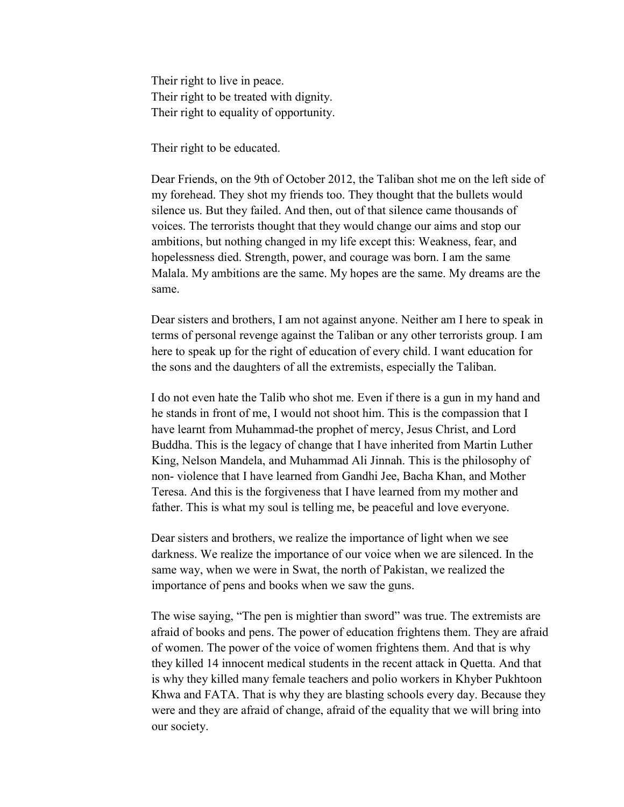Their right to live in peace. Their right to be treated with dignity. Their right to equality of opportunity.

Their right to be educated.

Dear Friends, on the 9th of October 2012, the Taliban shot me on the left side of my forehead. They shot my friends too. They thought that the bullets would silence us. But they failed. And then, out of that silence came thousands of voices. The terrorists thought that they would change our aims and stop our ambitions, but nothing changed in my life except this: Weakness, fear, and hopelessness died. Strength, power, and courage was born. I am the same Malala. My ambitions are the same. My hopes are the same. My dreams are the same.

Dear sisters and brothers, I am not against anyone. Neither am I here to speak in terms of personal revenge against the Taliban or any other terrorists group. I am here to speak up for the right of education of every child. I want education for the sons and the daughters of all the extremists, especially the Taliban.

I do not even hate the Talib who shot me. Even if there is a gun in my hand and he stands in front of me, I would not shoot him. This is the compassion that I have learnt from Muhammad-the prophet of mercy, Jesus Christ, and Lord Buddha. This is the legacy of change that I have inherited from Martin Luther King, Nelson Mandela, and Muhammad Ali Jinnah. This is the philosophy of non- violence that I have learned from Gandhi Jee, Bacha Khan, and Mother Teresa. And this is the forgiveness that I have learned from my mother and father. This is what my soul is telling me, be peaceful and love everyone.

Dear sisters and brothers, we realize the importance of light when we see darkness. We realize the importance of our voice when we are silenced. In the same way, when we were in Swat, the north of Pakistan, we realized the importance of pens and books when we saw the guns.

The wise saying, "The pen is mightier than sword" was true. The extremists are afraid of books and pens. The power of education frightens them. They are afraid of women. The power of the voice of women frightens them. And that is why they killed 14 innocent medical students in the recent attack in Quetta. And that is why they killed many female teachers and polio workers in Khyber Pukhtoon Khwa and FATA. That is why they are blasting schools every day. Because they were and they are afraid of change, afraid of the equality that we will bring into our society.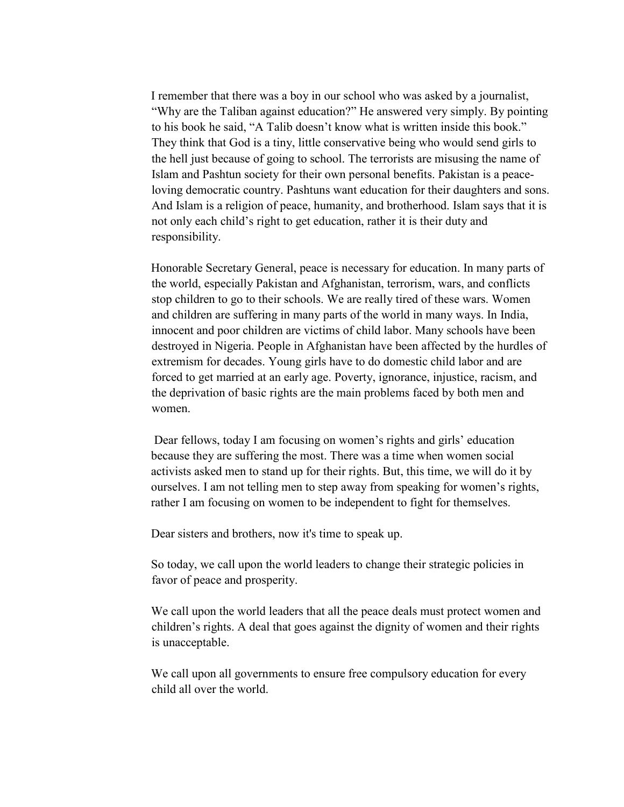I remember that there was a boy in our school who was asked by a journalist, "Why are the Taliban against education?" He answered very simply. By pointing to his book he said, "A Talib doesn't know what is written inside this book." They think that God is a tiny, little conservative being who would send girls to the hell just because of going to school. The terrorists are misusing the name of Islam and Pashtun society for their own personal benefits. Pakistan is a peaceloving democratic country. Pashtuns want education for their daughters and sons. And Islam is a religion of peace, humanity, and brotherhood. Islam says that it is not only each child's right to get education, rather it is their duty and responsibility.

Honorable Secretary General, peace is necessary for education. In many parts of the world, especially Pakistan and Afghanistan, terrorism, wars, and conflicts stop children to go to their schools. We are really tired of these wars. Women and children are suffering in many parts of the world in many ways. In India, innocent and poor children are victims of child labor. Many schools have been destroyed in Nigeria. People in Afghanistan have been affected by the hurdles of extremism for decades. Young girls have to do domestic child labor and are forced to get married at an early age. Poverty, ignorance, injustice, racism, and the deprivation of basic rights are the main problems faced by both men and women.

Dear fellows, today I am focusing on women's rights and girls' education because they are suffering the most. There was a time when women social activists asked men to stand up for their rights. But, this time, we will do it by ourselves. I am not telling men to step away from speaking for women's rights, rather I am focusing on women to be independent to fight for themselves.

Dear sisters and brothers, now it's time to speak up.

So today, we call upon the world leaders to change their strategic policies in favor of peace and prosperity.

We call upon the world leaders that all the peace deals must protect women and children's rights. A deal that goes against the dignity of women and their rights is unacceptable.

We call upon all governments to ensure free compulsory education for every child all over the world.